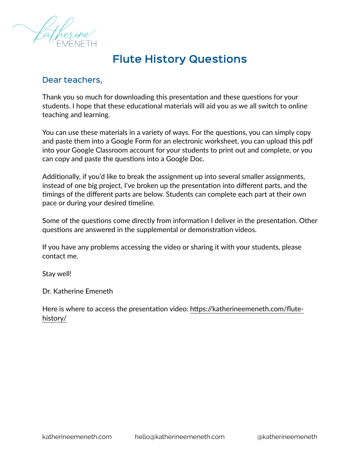

#### **Flute History Questions**

#### Dear teachers,

Thank you so much for downloading this presentation and these questions for your students. I hope that these educational materials will aid you as we all switch to online teaching and learning.

You can use these materials in a variety of ways. For the questions, you can simply copy and paste them into a Google Form for an electronic worksheet, you can upload this pdf into your Google Classroom account for your students to print out and complete, or you can copy and paste the questions into a Google Doc.

Additionally, if you'd like to break the assignment up into several smaller assignments, instead of one big project, I've broken up the presentation into different parts, and the timings of the different parts are below. Students can complete each part at their own pace or during your desired timeline.

Some of the questions come directly from information I deliver in the presentation. Other questions are answered in the supplemental or demonstration videos.

If you have any problems accessing the video or sharing it with your students, please contact me.

Stay well!

Dr. Katherine Emeneth

Here is where to access the presentation video: [https://katherineemeneth.com/flute](https://katherineemeneth.com/flute-history/)[history/](https://katherineemeneth.com/flute-history/)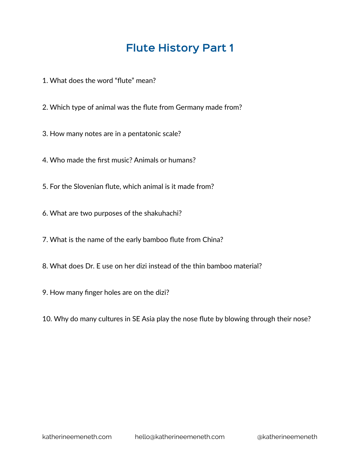- 1. What does the word "flute" mean?
- 2. Which type of animal was the flute from Germany made from?
- 3. How many notes are in a pentatonic scale?
- 4. Who made the first music? Animals or humans?
- 5. For the Slovenian flute, which animal is it made from?
- 6. What are two purposes of the shakuhachi?
- 7. What is the name of the early bamboo flute from China?
- 8. What does Dr. E use on her dizi instead of the thin bamboo material?
- 9. How many finger holes are on the dizi?
- 10. Why do many cultures in SE Asia play the nose flute by blowing through their nose?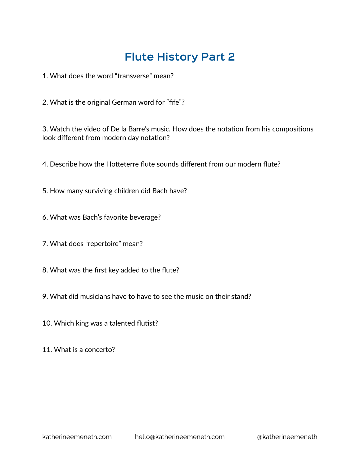1. What does the word "transverse" mean?

2. What is the original German word for "fife"?

3. Watch the video of De la Barre's music. How does the notation from his compositions look different from modern day notation?

4. Describe how the Hotteterre flute sounds different from our modern flute?

5. How many surviving children did Bach have?

6. What was Bach's favorite beverage?

- 7. What does "repertoire" mean?
- 8. What was the first key added to the flute?
- 9. What did musicians have to have to see the music on their stand?
- 10. Which king was a talented flutist?

11. What is a concerto?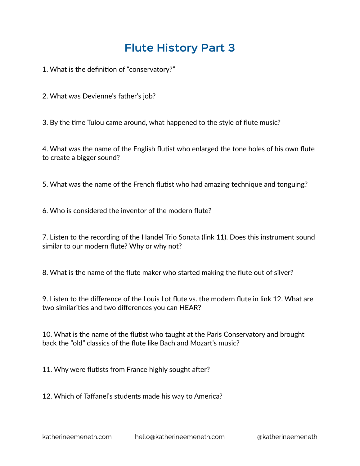1. What is the definition of "conservatory?"

2. What was Devienne's father's job?

3. By the time Tulou came around, what happened to the style of flute music?

4. What was the name of the English flutist who enlarged the tone holes of his own flute to create a bigger sound?

5. What was the name of the French flutist who had amazing technique and tonguing?

6. Who is considered the inventor of the modern flute?

7. Listen to the recording of the Handel Trio Sonata (link 11). Does this instrument sound similar to our modern flute? Why or why not?

8. What is the name of the flute maker who started making the flute out of silver?

9. Listen to the difference of the Louis Lot flute vs. the modern flute in link 12. What are two similarities and two differences you can HEAR?

10. What is the name of the flutist who taught at the Paris Conservatory and brought back the "old" classics of the flute like Bach and Mozart's music?

11. Why were flutists from France highly sought after?

12. Which of Taffanel's students made his way to America?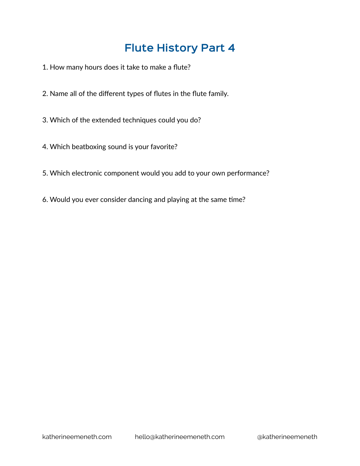- 1. How many hours does it take to make a flute?
- 2. Name all of the different types of flutes in the flute family.
- 3. Which of the extended techniques could you do?
- 4. Which beatboxing sound is your favorite?
- 5. Which electronic component would you add to your own performance?
- 6. Would you ever consider dancing and playing at the same time?